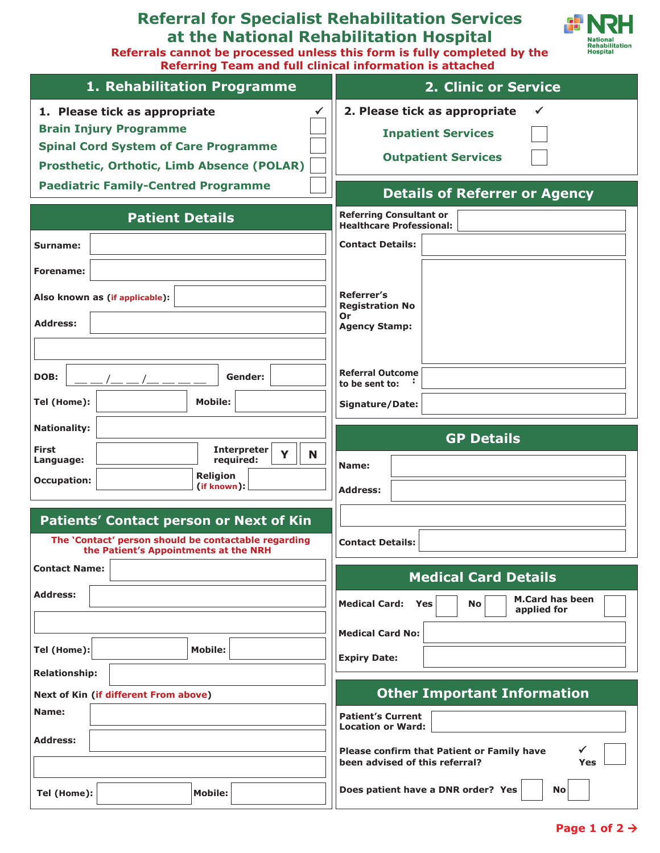# **Referral for Specialist Rehabilitation Services at the National Rehabilitation Hospital**



**Referrals cannot be processed unless this form is fully completed by the Referring Team and full clinical information is attached** 

| 1. Rehabilitation Programme                                                                                                                                        | <b>2. Clinic or Service</b>                                                              |  |
|--------------------------------------------------------------------------------------------------------------------------------------------------------------------|------------------------------------------------------------------------------------------|--|
| 1. Please tick as appropriate<br><b>Brain Injury Programme</b><br><b>Spinal Cord System of Care Programme</b><br><b>Prosthetic, Orthotic, Limb Absence (POLAR)</b> | 2. Please tick as appropriate<br><b>Inpatient Services</b><br><b>Outpatient Services</b> |  |
| <b>Paediatric Family-Centred Programme</b>                                                                                                                         | <b>Details of Referrer or Agency</b>                                                     |  |
| <b>Patient Details</b>                                                                                                                                             | <b>Referring Consultant or</b><br><b>Healthcare Professional:</b>                        |  |
| Surname:                                                                                                                                                           | <b>Contact Details:</b>                                                                  |  |
| Forename:                                                                                                                                                          |                                                                                          |  |
| Also known as (if applicable):                                                                                                                                     | Referrer's<br><b>Registration No</b><br>0r                                               |  |
| <b>Address:</b>                                                                                                                                                    | <b>Agency Stamp:</b>                                                                     |  |
| DOB:<br>Gender:                                                                                                                                                    | <b>Referral Outcome</b><br>to be sent to:                                                |  |
| <b>Mobile:</b><br>Tel (Home):                                                                                                                                      | Signature/Date:                                                                          |  |
| <b>Nationality:</b>                                                                                                                                                | <b>GP Details</b>                                                                        |  |
| <b>First</b><br><b>Interpreter</b><br>Y<br>N<br>required:<br>Language:<br><b>Religion</b><br><b>Occupation:</b><br>(if known):                                     | Name:<br><b>Address:</b>                                                                 |  |
| Patients' Contact person or Next of Kin<br>The 'Contact' person should be contactable regarding<br>the Patient's Appointments at the NRH                           | <b>Contact Details:</b>                                                                  |  |
| <b>Contact Name:</b>                                                                                                                                               | <b>Medical Card Details</b>                                                              |  |
| <b>Address:</b>                                                                                                                                                    | <b>M.Card has been</b><br><b>Medical Card:</b><br>Yes<br><b>No</b><br>applied for        |  |
|                                                                                                                                                                    | <b>Medical Card No:</b>                                                                  |  |
| Tel (Home):<br><b>Mobile:</b>                                                                                                                                      | <b>Expiry Date:</b>                                                                      |  |
| <b>Relationship:</b>                                                                                                                                               | <b>Other Important Information</b>                                                       |  |
| Next of Kin (if different From above)<br>Name:                                                                                                                     | <b>Patient's Current</b><br><b>Location or Ward:</b>                                     |  |
| <b>Address:</b>                                                                                                                                                    | Please confirm that Patient or Family have<br>been advised of this referral?<br>Yes      |  |
| <b>Mobile:</b><br>Tel (Home):                                                                                                                                      | Does patient have a DNR order? Yes<br><b>No</b>                                          |  |